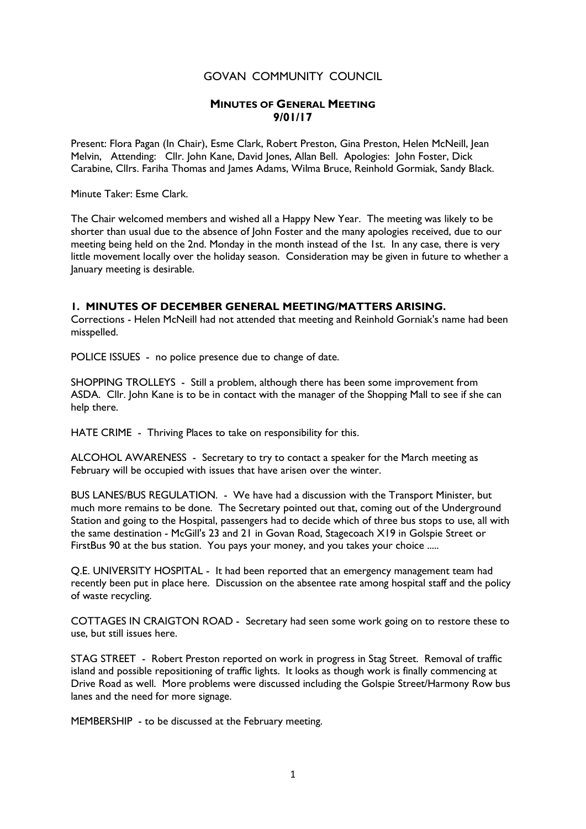## GOVAN COMMUNITY COUNCIL

## MINUTES OF GENERAL MEETING 9/01/17

Present: Flora Pagan (In Chair), Esme Clark, Robert Preston, Gina Preston, Helen McNeill, Jean Melvin, Attending: Cllr. John Kane, David Jones, Allan Bell. Apologies: John Foster, Dick Carabine, Cllrs. Fariha Thomas and James Adams, Wilma Bruce, Reinhold Gormiak, Sandy Black.

Minute Taker: Esme Clark.

The Chair welcomed members and wished all a Happy New Year. The meeting was likely to be shorter than usual due to the absence of John Foster and the many apologies received, due to our meeting being held on the 2nd. Monday in the month instead of the 1st. In any case, there is very little movement locally over the holiday season. Consideration may be given in future to whether a January meeting is desirable.

## 1. MINUTES OF DECEMBER GENERAL MEETING/MATTERS ARISING.

Corrections - Helen McNeill had not attended that meeting and Reinhold Gorniak's name had been misspelled.

POLICE ISSUES - no police presence due to change of date.

SHOPPING TROLLEYS - Still a problem, although there has been some improvement from ASDA. Cllr. John Kane is to be in contact with the manager of the Shopping Mall to see if she can help there.

HATE CRIME - Thriving Places to take on responsibility for this.

ALCOHOL AWARENESS - Secretary to try to contact a speaker for the March meeting as February will be occupied with issues that have arisen over the winter.

BUS LANES/BUS REGULATION. - We have had a discussion with the Transport Minister, but much more remains to be done. The Secretary pointed out that, coming out of the Underground Station and going to the Hospital, passengers had to decide which of three bus stops to use, all with the same destination - McGill's 23 and 21 in Govan Road, Stagecoach X19 in Golspie Street or FirstBus 90 at the bus station. You pays your money, and you takes your choice .....

Q.E. UNIVERSITY HOSPITAL - It had been reported that an emergency management team had recently been put in place here. Discussion on the absentee rate among hospital staff and the policy of waste recycling.

COTTAGES IN CRAIGTON ROAD - Secretary had seen some work going on to restore these to use, but still issues here.

STAG STREET - Robert Preston reported on work in progress in Stag Street. Removal of traffic island and possible repositioning of traffic lights. It looks as though work is finally commencing at Drive Road as well. More problems were discussed including the Golspie Street/Harmony Row bus lanes and the need for more signage.

MEMBERSHIP - to be discussed at the February meeting.